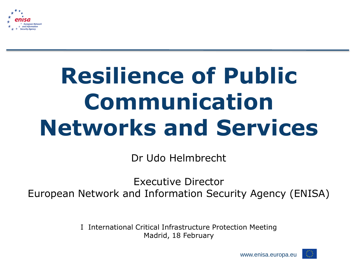

# **Resilience of Public Communication Networks and Services**

Dr Udo Helmbrecht

Executive Director European Network and Information Security Agency (ENISA)

> I International Critical Infrastructure Protection Meeting Madrid, 18 February

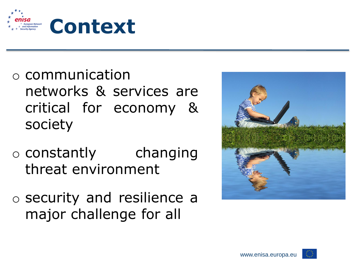

- o communication networks & services are critical for economy & society
- o constantly changing threat environment
- o security and resilience a major challenge for all



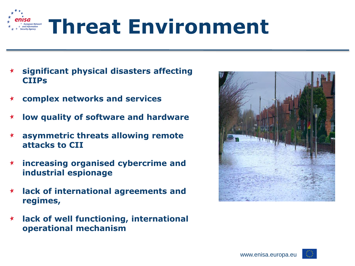

- **significant physical disasters affecting CIIPs**
- **complex networks and services**  $\bigstar$
- $\bigstar$ **low quality of software and hardware**
- **asymmetric threats allowing remote attacks to CII**
- **increasing organised cybercrime and**   $\star$ **industrial espionage**
- **lack of international agreements and**   $\star$ **regimes,**
- **lack of well functioning, international**   $\star$ **operational mechanism**



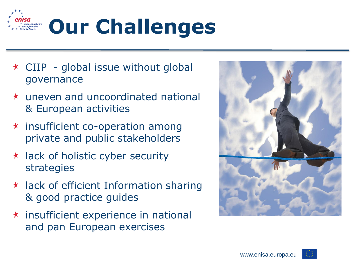

- $\star$  CIIP global issue without global governance
- uneven and uncoordinated national & European activities
- insufficient co-operation among private and public stakeholders
- $\star$  lack of holistic cyber security strategies
- $\star$  lack of efficient Information sharing & good practice guides
- $\star$  insufficient experience in national and pan European exercises



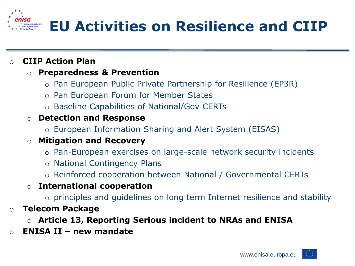

#### o **CIIP Action Plan**

#### o **Preparedness & Prevention**

- o Pan European Public Private Partnership for Resilience (EP3R)
- o Pan European Forum for Member States
- o Baseline Capabilities of National/Gov CERTs

#### o **Detection and Response**

o European Information Sharing and Alert System (EISAS)

#### o **Mitigation and Recovery**

- o Pan-European exercises on large-scale network security incidents
- o National Contingency Plans
- o Reinforced cooperation between National / Governmental CERTs

#### o **International cooperation**

- o principles and guidelines on long term Internet resilience and stability
- o **Telecom Package**
	- o **Article 13, Reporting Serious incident to NRAs and ENISA**
- o **ENISA II – new mandate**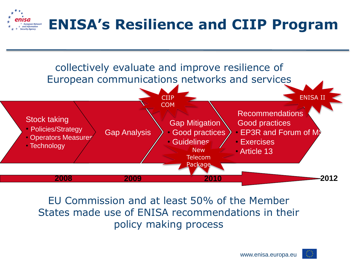



EU Commission and at least 50% of the Member States made use of ENISA recommendations in their policy making process

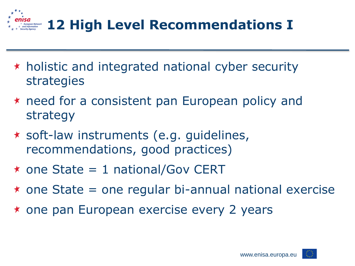

- $\star$  holistic and integrated national cyber security strategies
- $\star$  need for a consistent pan European policy and strategy
- soft-law instruments (e.g. guidelines, recommendations, good practices)
- $\star$  one State = 1 national/Gov CERT
- $\star$  one State = one regular bi-annual national exercise
- \* one pan European exercise every 2 years

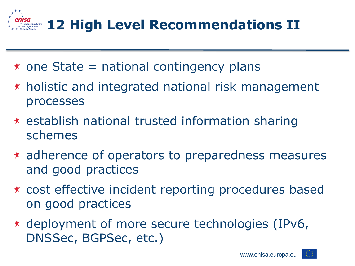

- $\star$  one State = national contingency plans
- $\star$  holistic and integrated national risk management processes
- $\star$  establish national trusted information sharing schemes
- adherence of operators to preparedness measures and good practices
- cost effective incident reporting procedures based on good practices
- deployment of more secure technologies (IPv6, DNSSec, BGPSec, etc.)

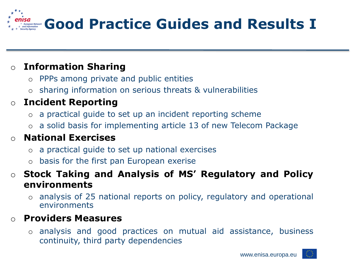

## o **Information Sharing**

- o PPPs among private and public entities
- o sharing information on serious threats & vulnerabilities

## o **Incident Reporting**

- o a practical guide to set up an incident reporting scheme
- o a solid basis for implementing article 13 of new Telecom Package

## o **National Exercises**

- o a practical guide to set up national exercises
- o basis for the first pan European exerise

#### o **Stock Taking and Analysis of MS' Regulatory and Policy environments**

o analysis of 25 national reports on policy, regulatory and operational environments

#### o **Providers Measures**

o analysis and good practices on mutual aid assistance, business continuity, third party dependencies

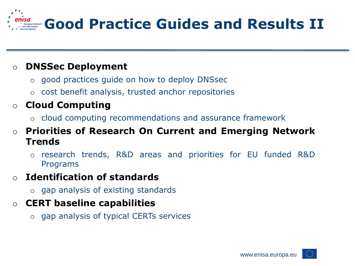

## o **DNSSec Deployment**

- o good practices guide on how to deploy DNSsec
- o cost benefit analysis, trusted anchor repositories

## o **Cloud Computing**

o cloud computing recommendations and assurance framework

#### o **Priorities of Research On Current and Emerging Network Trends**

o research trends, R&D areas and priorities for EU funded R&D Programs

## o **Identification of standards**

o gap analysis of existing standards

## o **CERT baseline capabilities**

o gap analysis of typical CERTs services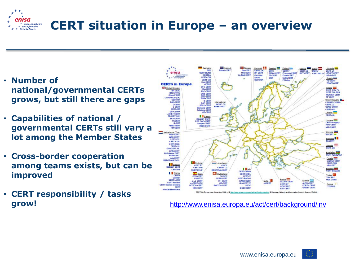

- **Number of national/governmental CERTs grows, but still there are gaps**
- **Capabilities of national / governmental CERTs still vary a lot among the Member States**
- **Cross-border cooperation among teams exists, but can be improved**
- **CERT responsibility / tasks**



**grow!** <http://www.enisa.europa.eu/act/cert/background/inv>

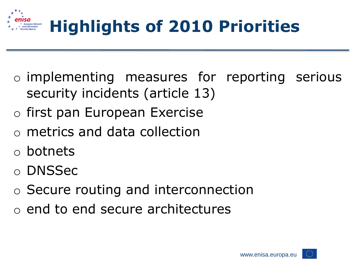

- o implementing measures for reporting serious security incidents (article 13)
- o first pan European Exercise
- o metrics and data collection
- o botnets
- o DNSSec
- o Secure routing and interconnection
- o end to end secure architectures

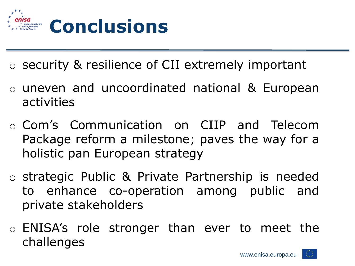

- o security & resilience of CII extremely important
- o uneven and uncoordinated national & European activities
- o Com's Communication on CIIP and Telecom Package reform a milestone; paves the way for a holistic pan European strategy
- o strategic Public & Private Partnership is needed to enhance co-operation among public and private stakeholders
- o ENISA's role stronger than ever to meet the challenges